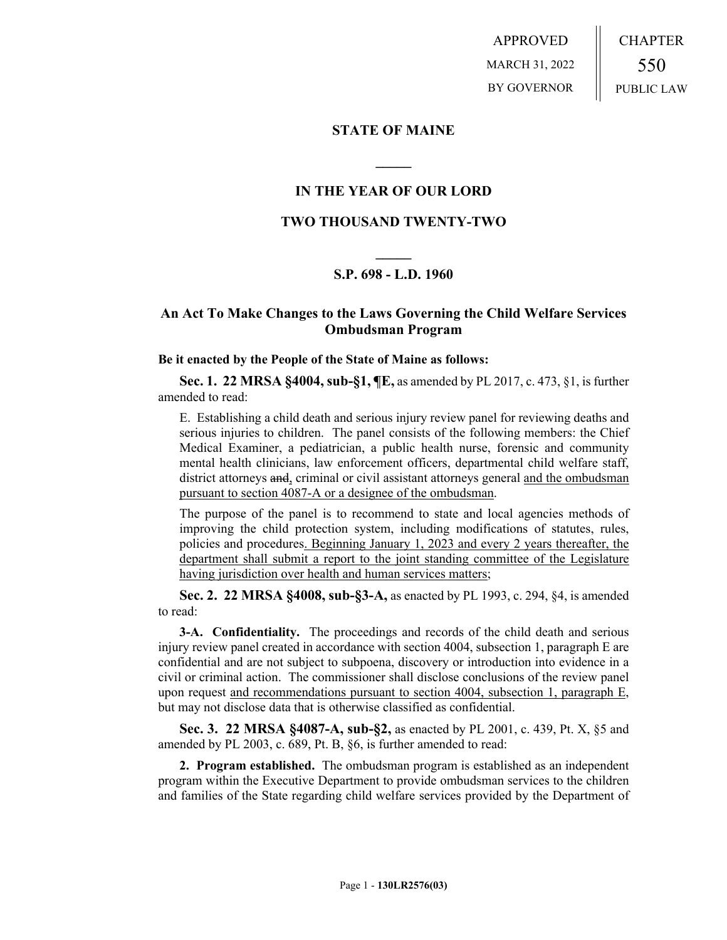APPROVED MARCH 31, 2022 BY GOVERNOR CHAPTER 550 PUBLIC LAW

### **STATE OF MAINE**

## **IN THE YEAR OF OUR LORD**

**\_\_\_\_\_**

# **TWO THOUSAND TWENTY-TWO**

# **\_\_\_\_\_ S.P. 698 - L.D. 1960**

# **An Act To Make Changes to the Laws Governing the Child Welfare Services Ombudsman Program**

#### **Be it enacted by the People of the State of Maine as follows:**

**Sec. 1. 22 MRSA §4004, sub-§1, ¶E,** as amended by PL 2017, c. 473, §1, is further amended to read:

E. Establishing a child death and serious injury review panel for reviewing deaths and serious injuries to children. The panel consists of the following members: the Chief Medical Examiner, a pediatrician, a public health nurse, forensic and community mental health clinicians, law enforcement officers, departmental child welfare staff, district attorneys and, criminal or civil assistant attorneys general and the ombudsman pursuant to section 4087-A or a designee of the ombudsman.

The purpose of the panel is to recommend to state and local agencies methods of improving the child protection system, including modifications of statutes, rules, policies and procedures. Beginning January 1, 2023 and every 2 years thereafter, the department shall submit a report to the joint standing committee of the Legislature having jurisdiction over health and human services matters;

**Sec. 2. 22 MRSA §4008, sub-§3-A,** as enacted by PL 1993, c. 294, §4, is amended to read:

**3-A. Confidentiality.** The proceedings and records of the child death and serious injury review panel created in accordance with section 4004, subsection 1, paragraph E are confidential and are not subject to subpoena, discovery or introduction into evidence in a civil or criminal action. The commissioner shall disclose conclusions of the review panel upon request and recommendations pursuant to section 4004, subsection 1, paragraph E, but may not disclose data that is otherwise classified as confidential.

**Sec. 3. 22 MRSA §4087-A, sub-§2,** as enacted by PL 2001, c. 439, Pt. X, §5 and amended by PL 2003, c. 689, Pt. B, §6, is further amended to read:

**2. Program established.** The ombudsman program is established as an independent program within the Executive Department to provide ombudsman services to the children and families of the State regarding child welfare services provided by the Department of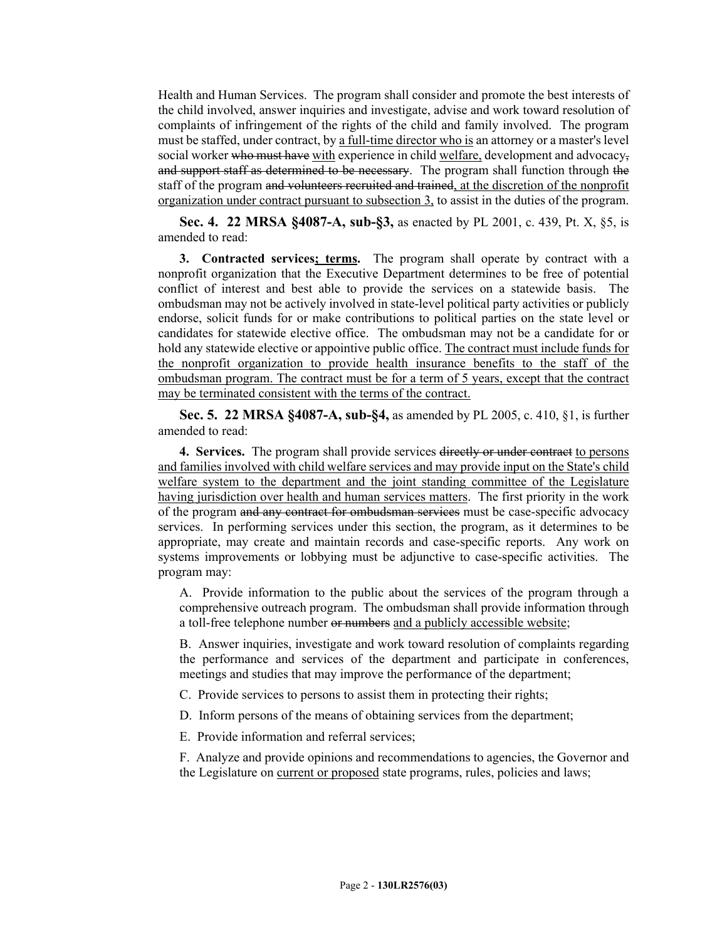Health and Human Services. The program shall consider and promote the best interests of the child involved, answer inquiries and investigate, advise and work toward resolution of complaints of infringement of the rights of the child and family involved. The program must be staffed, under contract, by a full-time director who is an attorney or a master's level social worker who must have with experience in child welfare, development and advocacy, and support staff as determined to be necessary. The program shall function through the staff of the program and volunteers recruited and trained, at the discretion of the nonprofit organization under contract pursuant to subsection 3, to assist in the duties of the program.

**Sec. 4. 22 MRSA §4087-A, sub-§3,** as enacted by PL 2001, c. 439, Pt. X, §5, is amended to read:

**3. Contracted services; terms.** The program shall operate by contract with a nonprofit organization that the Executive Department determines to be free of potential conflict of interest and best able to provide the services on a statewide basis. The ombudsman may not be actively involved in state-level political party activities or publicly endorse, solicit funds for or make contributions to political parties on the state level or candidates for statewide elective office. The ombudsman may not be a candidate for or hold any statewide elective or appointive public office. The contract must include funds for the nonprofit organization to provide health insurance benefits to the staff of the ombudsman program. The contract must be for a term of 5 years, except that the contract may be terminated consistent with the terms of the contract.

**Sec. 5. 22 MRSA §4087-A, sub-§4,** as amended by PL 2005, c. 410, §1, is further amended to read:

**4. Services.** The program shall provide services directly or under contract to persons and families involved with child welfare services and may provide input on the State's child welfare system to the department and the joint standing committee of the Legislature having jurisdiction over health and human services matters. The first priority in the work of the program and any contract for ombudsman services must be case-specific advocacy services. In performing services under this section, the program, as it determines to be appropriate, may create and maintain records and case-specific reports. Any work on systems improvements or lobbying must be adjunctive to case-specific activities. The program may:

A. Provide information to the public about the services of the program through a comprehensive outreach program. The ombudsman shall provide information through a toll-free telephone number or numbers and a publicly accessible website;

B. Answer inquiries, investigate and work toward resolution of complaints regarding the performance and services of the department and participate in conferences, meetings and studies that may improve the performance of the department;

C. Provide services to persons to assist them in protecting their rights;

D. Inform persons of the means of obtaining services from the department;

E. Provide information and referral services;

F. Analyze and provide opinions and recommendations to agencies, the Governor and the Legislature on current or proposed state programs, rules, policies and laws;